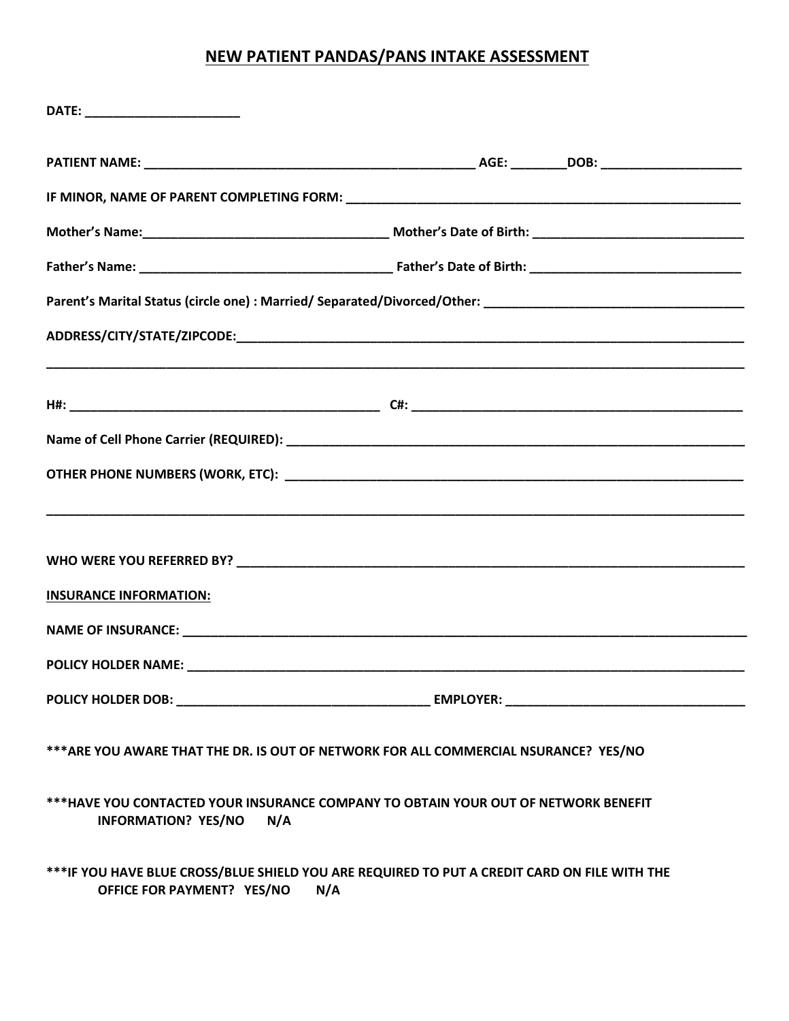# **NEW PATIENT PANDAS/PANS INTAKE ASSESSMENT**

| <b>INSURANCE INFORMATION:</b>     |                                                                                                     |
|-----------------------------------|-----------------------------------------------------------------------------------------------------|
|                                   |                                                                                                     |
|                                   |                                                                                                     |
|                                   |                                                                                                     |
|                                   | *** ARE YOU AWARE THAT THE DR. IS OUT OF NETWORK FOR ALL COMMERCIAL NSURANCE? YES/NO                |
| <b>INFORMATION? YES/NO</b><br>N/A | ***HAVE YOU CONTACTED YOUR INSURANCE COMPANY TO OBTAIN YOUR OUT OF NETWORK BENEFIT                  |
| OFFICE FOR PAYMENT? YES/NO        | ***IF YOU HAVE BLUE CROSS/BLUE SHIELD YOU ARE REQUIRED TO PUT A CREDIT CARD ON FILE WITH THE<br>N/A |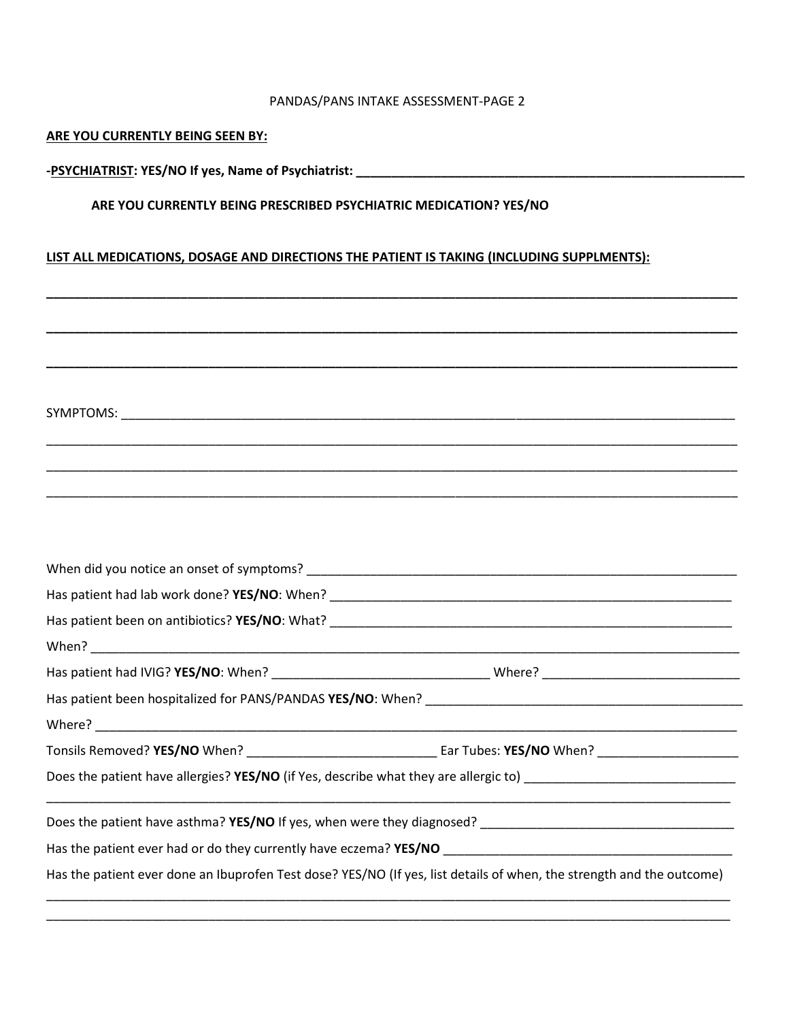#### PANDAS/PANS INTAKE ASSESSMENT-PAGE 2

### **ARE YOU CURRENTLY BEING SEEN BY:**

**-PSYCHIATRIST: YES/NO If yes, Name of Psychiatrist: \_\_\_\_\_\_\_\_\_\_\_\_\_\_\_\_\_\_\_\_\_\_\_\_\_\_\_\_\_\_\_\_\_\_\_\_\_\_\_\_\_\_\_\_\_\_\_\_\_\_\_\_\_\_\_**

### **ARE YOU CURRENTLY BEING PRESCRIBED PSYCHIATRIC MEDICATION? YES/NO**

## **LIST ALL MEDICATIONS, DOSAGE AND DIRECTIONS THE PATIENT IS TAKING (INCLUDING SUPPLMENTS):**

\_\_\_\_\_\_\_\_\_\_\_\_\_\_\_\_\_\_\_\_\_\_\_\_\_\_\_\_\_\_\_\_\_\_\_\_\_\_\_\_\_\_\_\_\_\_\_\_\_\_\_\_\_\_\_\_\_\_\_\_\_\_\_\_\_\_\_\_\_\_\_\_\_\_\_\_\_\_\_\_\_\_\_\_\_\_\_\_\_\_\_\_\_\_\_\_\_